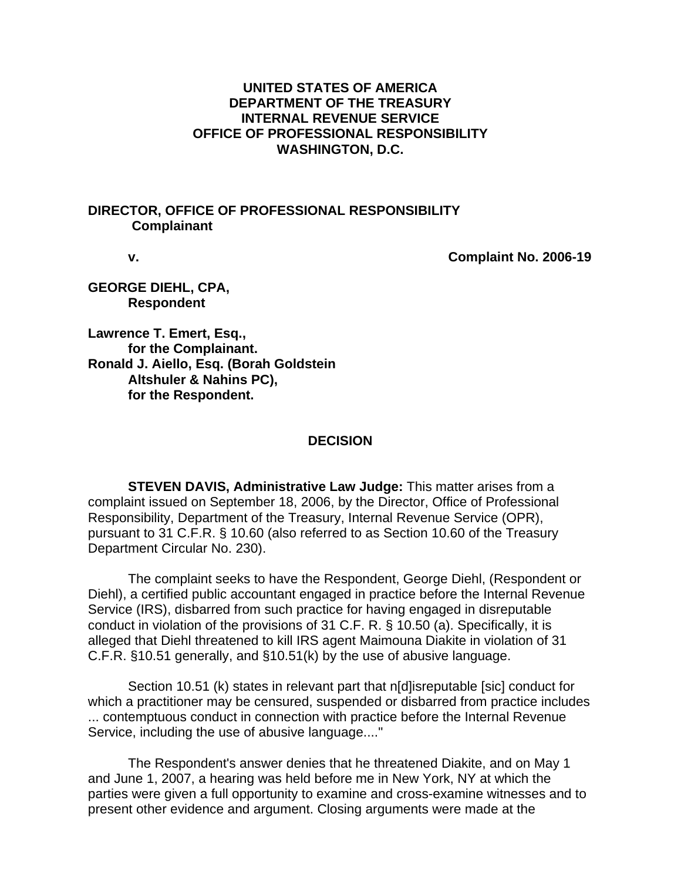### **UNITED STATES OF AMERICA DEPARTMENT OF THE TREASURY INTERNAL REVENUE SERVICE OFFICE OF PROFESSIONAL RESPONSIBILITY WASHINGTON, D.C.**

#### **DIRECTOR, OFFICE OF PROFESSIONAL RESPONSIBILITY Complainant**

 **v. Complaint No. 2006-19** 

**GEORGE DIEHL, CPA, Respondent** 

**Lawrence T. Emert, Esq., for the Complainant. Ronald J. Aiello, Esq. (Borah Goldstein Altshuler & Nahins PC), for the Respondent.** 

#### **DECISION**

 **STEVEN DAVIS, Administrative Law Judge:** This matter arises from a complaint issued on September 18, 2006, by the Director, Office of Professional Responsibility, Department of the Treasury, Internal Revenue Service (OPR), pursuant to 31 C.F.R. § 10.60 (also referred to as Section 10.60 of the Treasury Department Circular No. 230).

 The complaint seeks to have the Respondent, George Diehl, (Respondent or Diehl), a certified public accountant engaged in practice before the Internal Revenue Service (IRS), disbarred from such practice for having engaged in disreputable conduct in violation of the provisions of 31 C.F. R. § 10.50 (a). Specifically, it is alleged that Diehl threatened to kill IRS agent Maimouna Diakite in violation of 31 C.F.R. §10.51 generally, and §10.51(k) by the use of abusive language.

 Section 10.51 (k) states in relevant part that n[d]isreputable [sic] conduct for which a practitioner may be censured, suspended or disbarred from practice includes ... contemptuous conduct in connection with practice before the Internal Revenue Service, including the use of abusive language...."

 The Respondent's answer denies that he threatened Diakite, and on May 1 and June 1, 2007, a hearing was held before me in New York, NY at which the parties were given a full opportunity to examine and cross-examine witnesses and to present other evidence and argument. Closing arguments were made at the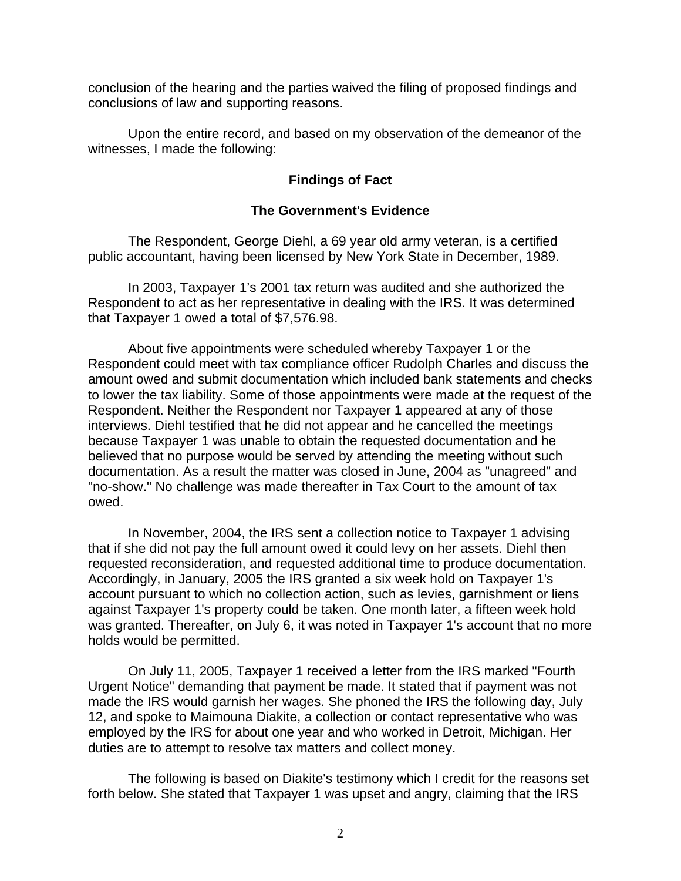conclusion of the hearing and the parties waived the filing of proposed findings and conclusions of law and supporting reasons.

 Upon the entire record, and based on my observation of the demeanor of the witnesses, I made the following:

## **Findings of Fact**

## **The Government's Evidence**

 The Respondent, George Diehl, a 69 year old army veteran, is a certified public accountant, having been licensed by New York State in December, 1989.

 In 2003, Taxpayer 1's 2001 tax return was audited and she authorized the Respondent to act as her representative in dealing with the IRS. It was determined that Taxpayer 1 owed a total of \$7,576.98.

 About five appointments were scheduled whereby Taxpayer 1 or the Respondent could meet with tax compliance officer Rudolph Charles and discuss the amount owed and submit documentation which included bank statements and checks to lower the tax liability. Some of those appointments were made at the request of the Respondent. Neither the Respondent nor Taxpayer 1 appeared at any of those interviews. Diehl testified that he did not appear and he cancelled the meetings because Taxpayer 1 was unable to obtain the requested documentation and he believed that no purpose would be served by attending the meeting without such documentation. As a result the matter was closed in June, 2004 as "unagreed" and "no-show." No challenge was made thereafter in Tax Court to the amount of tax owed.

 In November, 2004, the IRS sent a collection notice to Taxpayer 1 advising that if she did not pay the full amount owed it could levy on her assets. Diehl then requested reconsideration, and requested additional time to produce documentation. Accordingly, in January, 2005 the IRS granted a six week hold on Taxpayer 1's account pursuant to which no collection action, such as levies, garnishment or liens against Taxpayer 1's property could be taken. One month later, a fifteen week hold was granted. Thereafter, on July 6, it was noted in Taxpayer 1's account that no more holds would be permitted.

 On July 11, 2005, Taxpayer 1 received a letter from the IRS marked "Fourth Urgent Notice" demanding that payment be made. It stated that if payment was not made the IRS would garnish her wages. She phoned the IRS the following day, July 12, and spoke to Maimouna Diakite, a collection or contact representative who was employed by the IRS for about one year and who worked in Detroit, Michigan. Her duties are to attempt to resolve tax matters and collect money.

 The following is based on Diakite's testimony which I credit for the reasons set forth below. She stated that Taxpayer 1 was upset and angry, claiming that the IRS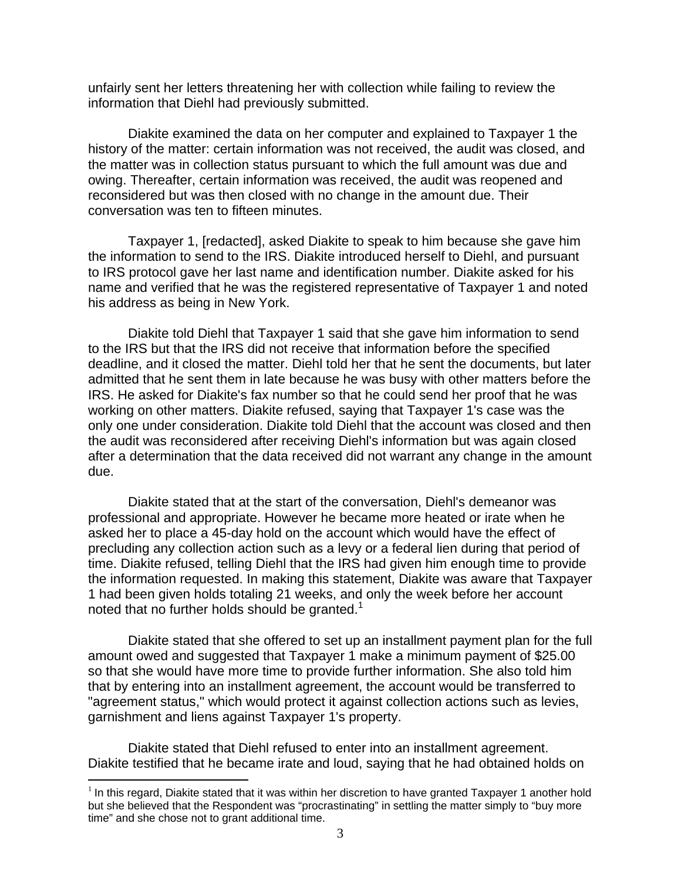unfairly sent her letters threatening her with collection while failing to review the information that Diehl had previously submitted.

 Diakite examined the data on her computer and explained to Taxpayer 1 the history of the matter: certain information was not received, the audit was closed, and the matter was in collection status pursuant to which the full amount was due and owing. Thereafter, certain information was received, the audit was reopened and reconsidered but was then closed with no change in the amount due. Their conversation was ten to fifteen minutes.

 Taxpayer 1, [redacted], asked Diakite to speak to him because she gave him the information to send to the IRS. Diakite introduced herself to Diehl, and pursuant to IRS protocol gave her last name and identification number. Diakite asked for his name and verified that he was the registered representative of Taxpayer 1 and noted his address as being in New York.

 Diakite told Diehl that Taxpayer 1 said that she gave him information to send to the IRS but that the IRS did not receive that information before the specified deadline, and it closed the matter. Diehl told her that he sent the documents, but later admitted that he sent them in late because he was busy with other matters before the IRS. He asked for Diakite's fax number so that he could send her proof that he was working on other matters. Diakite refused, saying that Taxpayer 1's case was the only one under consideration. Diakite told Diehl that the account was closed and then the audit was reconsidered after receiving Diehl's information but was again closed after a determination that the data received did not warrant any change in the amount due.

 Diakite stated that at the start of the conversation, Diehl's demeanor was professional and appropriate. However he became more heated or irate when he asked her to place a 45-day hold on the account which would have the effect of precluding any collection action such as a levy or a federal lien during that period of time. Diakite refused, telling Diehl that the IRS had given him enough time to provide the information requested. In making this statement, Diakite was aware that Taxpayer 1 had been given holds totaling 21 weeks, and only the week before her account noted that no further holds should be granted.<sup>1</sup>

 Diakite stated that she offered to set up an installment payment plan for the full amount owed and suggested that Taxpayer 1 make a minimum payment of \$25.00 so that she would have more time to provide further information. She also told him that by entering into an installment agreement, the account would be transferred to "agreement status," which would protect it against collection actions such as levies, garnishment and liens against Taxpayer 1's property.

 Diakite stated that Diehl refused to enter into an installment agreement. Diakite testified that he became irate and loud, saying that he had obtained holds on

 $\overline{a}$ 

 $<sup>1</sup>$  In this regard, Diakite stated that it was within her discretion to have granted Taxpayer 1 another hold</sup> but she believed that the Respondent was "procrastinating" in settling the matter simply to "buy more time" and she chose not to grant additional time.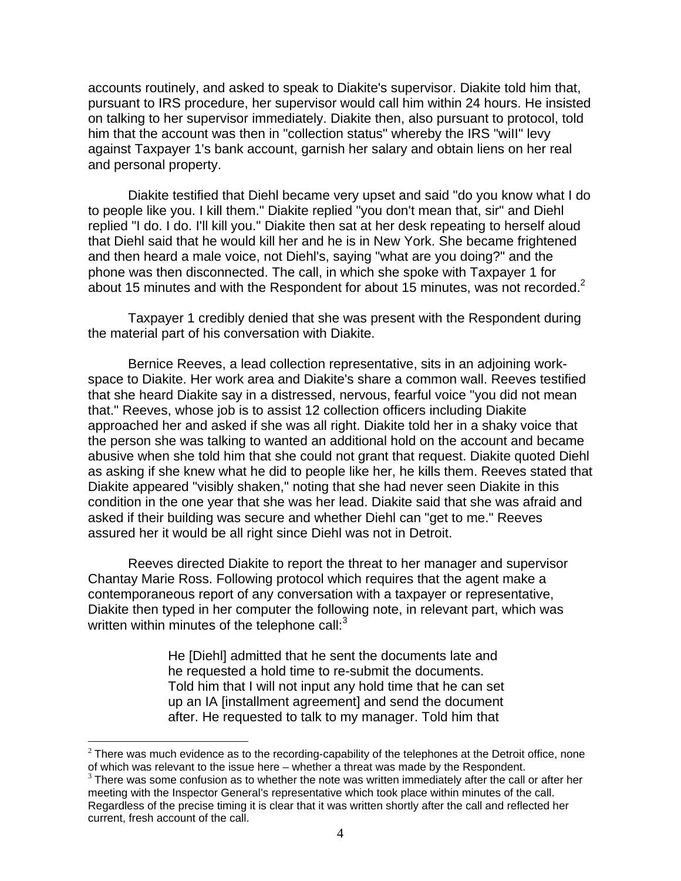accounts routinely, and asked to speak to Diakite's supervisor. Diakite told him that, pursuant to IRS procedure, her supervisor would call him within 24 hours. He insisted on talking to her supervisor immediately. Diakite then, also pursuant to protocol, told him that the account was then in "collection status" whereby the IRS "wiII" levy against Taxpayer 1's bank account, garnish her salary and obtain liens on her real and personal property.

 Diakite testified that Diehl became very upset and said "do you know what I do to people like you. I kill them." Diakite replied "you don't mean that, sir" and Diehl replied "I do. I do. I'll kill you." Diakite then sat at her desk repeating to herself aloud that Diehl said that he would kill her and he is in New York. She became frightened and then heard a male voice, not Diehl's, saying "what are you doing?" and the phone was then disconnected. The call, in which she spoke with Taxpayer 1 for about 15 minutes and with the Respondent for about 15 minutes, was not recorded.<sup>2</sup>

 Taxpayer 1 credibly denied that she was present with the Respondent during the material part of his conversation with Diakite.

 Bernice Reeves, a lead collection representative, sits in an adjoining workspace to Diakite. Her work area and Diakite's share a common wall. Reeves testified that she heard Diakite say in a distressed, nervous, fearful voice "you did not mean that." Reeves, whose job is to assist 12 collection officers including Diakite approached her and asked if she was all right. Diakite told her in a shaky voice that the person she was talking to wanted an additional hold on the account and became abusive when she told him that she could not grant that request. Diakite quoted Diehl as asking if she knew what he did to people like her, he kills them. Reeves stated that Diakite appeared "visibly shaken," noting that she had never seen Diakite in this condition in the one year that she was her lead. Diakite said that she was afraid and asked if their building was secure and whether Diehl can "get to me." Reeves assured her it would be all right since Diehl was not in Detroit.

 Reeves directed Diakite to report the threat to her manager and supervisor Chantay Marie Ross. Following protocol which requires that the agent make a contemporaneous report of any conversation with a taxpayer or representative, Diakite then typed in her computer the following note, in relevant part, which was written within minutes of the telephone call: $3$ 

> He [Diehl] admitted that he sent the documents late and he requested a hold time to re-submit the documents. Told him that I will not input any hold time that he can set up an IA [installment agreement] and send the document after. He requested to talk to my manager. Told him that

 $\overline{a}$ 

 $2$  There was much evidence as to the recording-capability of the telephones at the Detroit office, none of which was relevant to the issue here – whether a threat was made by the Respondent.

 $3$  There was some confusion as to whether the note was written immediately after the call or after her meeting with the Inspector General's representative which took place within minutes of the call. Regardless of the precise timing it is clear that it was written shortly after the call and reflected her current, fresh account of the call.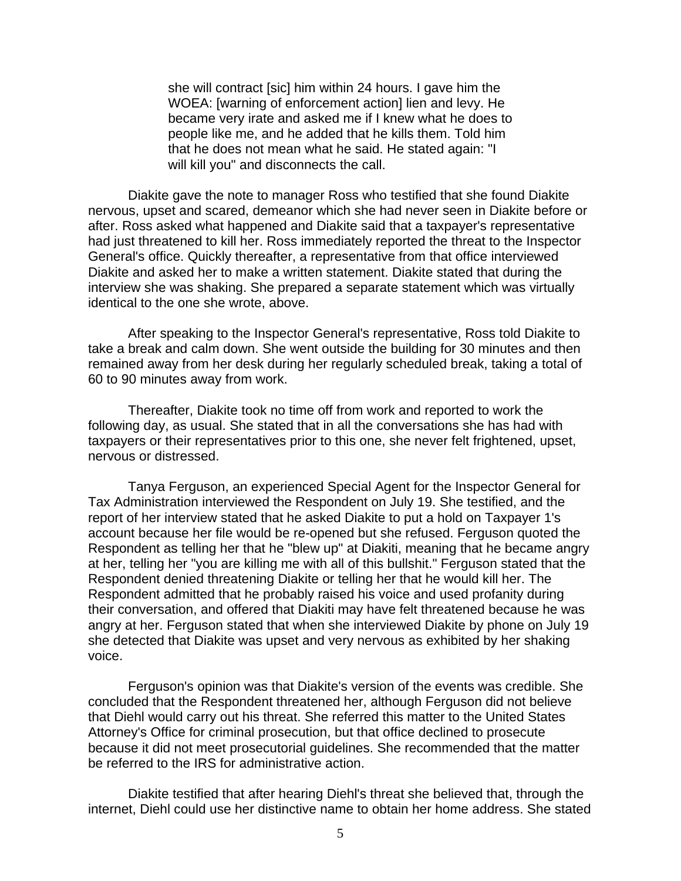she will contract [sic] him within 24 hours. I gave him the WOEA: [warning of enforcement action] lien and levy. He became very irate and asked me if I knew what he does to people like me, and he added that he kills them. Told him that he does not mean what he said. He stated again: "I will kill you" and disconnects the call.

 Diakite gave the note to manager Ross who testified that she found Diakite nervous, upset and scared, demeanor which she had never seen in Diakite before or after. Ross asked what happened and Diakite said that a taxpayer's representative had just threatened to kill her. Ross immediately reported the threat to the Inspector General's office. Quickly thereafter, a representative from that office interviewed Diakite and asked her to make a written statement. Diakite stated that during the interview she was shaking. She prepared a separate statement which was virtually identical to the one she wrote, above.

 After speaking to the Inspector General's representative, Ross told Diakite to take a break and calm down. She went outside the building for 30 minutes and then remained away from her desk during her regularly scheduled break, taking a total of 60 to 90 minutes away from work.

 Thereafter, Diakite took no time off from work and reported to work the following day, as usual. She stated that in all the conversations she has had with taxpayers or their representatives prior to this one, she never felt frightened, upset, nervous or distressed.

 Tanya Ferguson, an experienced Special Agent for the Inspector General for Tax Administration interviewed the Respondent on July 19. She testified, and the report of her interview stated that he asked Diakite to put a hold on Taxpayer 1's account because her file would be re-opened but she refused. Ferguson quoted the Respondent as telling her that he "blew up" at Diakiti, meaning that he became angry at her, telling her "you are killing me with all of this bullshit." Ferguson stated that the Respondent denied threatening Diakite or telling her that he would kill her. The Respondent admitted that he probably raised his voice and used profanity during their conversation, and offered that Diakiti may have felt threatened because he was angry at her. Ferguson stated that when she interviewed Diakite by phone on July 19 she detected that Diakite was upset and very nervous as exhibited by her shaking voice.

 Ferguson's opinion was that Diakite's version of the events was credible. She concluded that the Respondent threatened her, although Ferguson did not believe that Diehl would carry out his threat. She referred this matter to the United States Attorney's Office for criminal prosecution, but that office declined to prosecute because it did not meet prosecutorial guidelines. She recommended that the matter be referred to the IRS for administrative action.

 Diakite testified that after hearing Diehl's threat she believed that, through the internet, Diehl could use her distinctive name to obtain her home address. She stated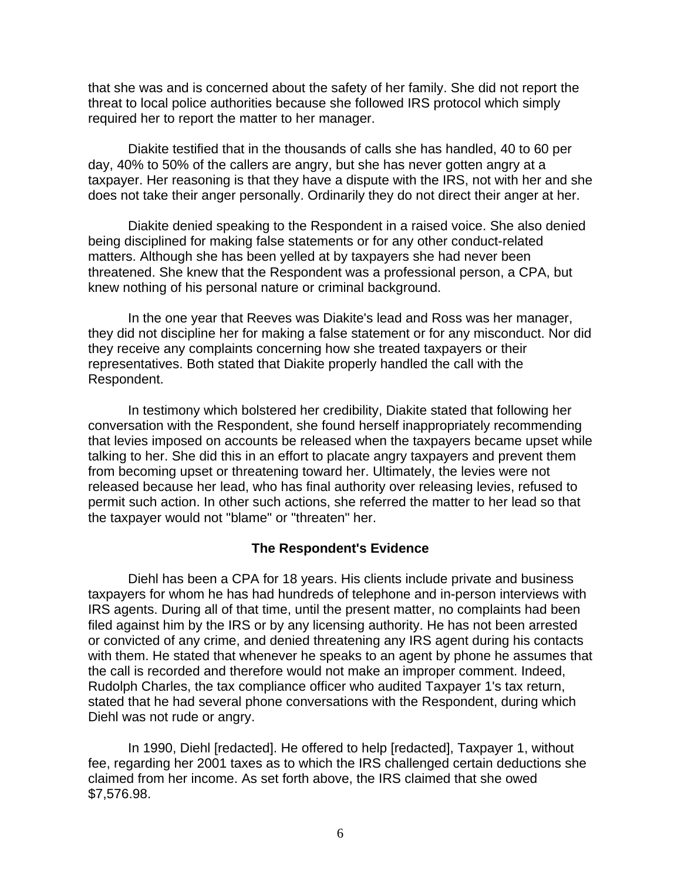that she was and is concerned about the safety of her family. She did not report the threat to local police authorities because she followed IRS protocol which simply required her to report the matter to her manager.

 Diakite testified that in the thousands of calls she has handled, 40 to 60 per day, 40% to 50% of the callers are angry, but she has never gotten angry at a taxpayer. Her reasoning is that they have a dispute with the IRS, not with her and she does not take their anger personally. Ordinarily they do not direct their anger at her.

 Diakite denied speaking to the Respondent in a raised voice. She also denied being disciplined for making false statements or for any other conduct-related matters. Although she has been yelled at by taxpayers she had never been threatened. She knew that the Respondent was a professional person, a CPA, but knew nothing of his personal nature or criminal background.

 In the one year that Reeves was Diakite's lead and Ross was her manager, they did not discipline her for making a false statement or for any misconduct. Nor did they receive any complaints concerning how she treated taxpayers or their representatives. Both stated that Diakite properly handled the call with the Respondent.

 In testimony which bolstered her credibility, Diakite stated that following her conversation with the Respondent, she found herself inappropriately recommending that levies imposed on accounts be released when the taxpayers became upset while talking to her. She did this in an effort to placate angry taxpayers and prevent them from becoming upset or threatening toward her. Ultimately, the levies were not released because her lead, who has final authority over releasing levies, refused to permit such action. In other such actions, she referred the matter to her lead so that the taxpayer would not "blame" or "threaten" her.

## **The Respondent's Evidence**

 Diehl has been a CPA for 18 years. His clients include private and business taxpayers for whom he has had hundreds of telephone and in-person interviews with IRS agents. During all of that time, until the present matter, no complaints had been filed against him by the IRS or by any licensing authority. He has not been arrested or convicted of any crime, and denied threatening any IRS agent during his contacts with them. He stated that whenever he speaks to an agent by phone he assumes that the call is recorded and therefore would not make an improper comment. Indeed, Rudolph Charles, the tax compliance officer who audited Taxpayer 1's tax return, stated that he had several phone conversations with the Respondent, during which Diehl was not rude or angry.

 In 1990, Diehl [redacted]. He offered to help [redacted], Taxpayer 1, without fee, regarding her 2001 taxes as to which the IRS challenged certain deductions she claimed from her income. As set forth above, the IRS claimed that she owed \$7,576.98.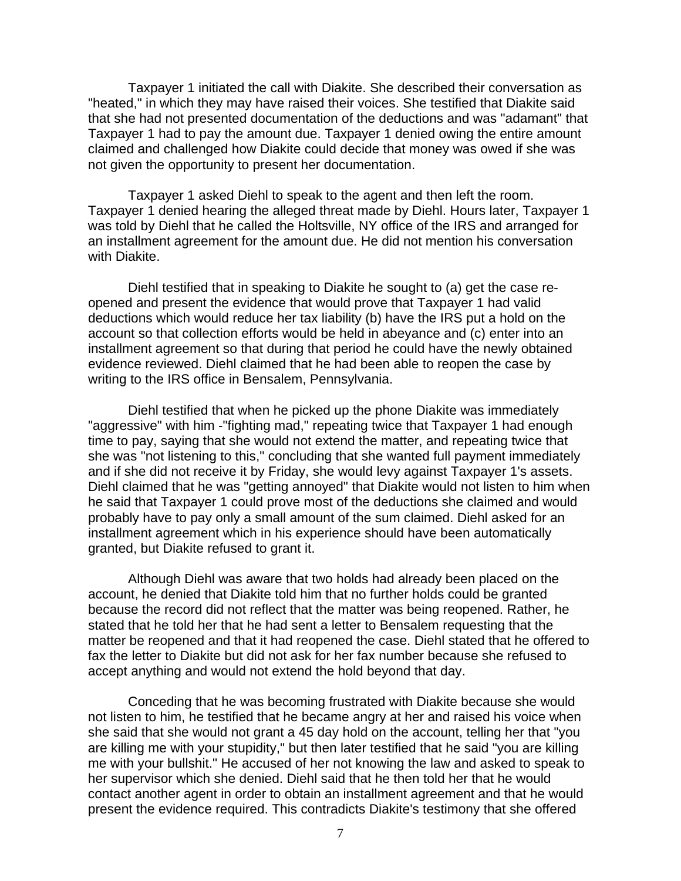Taxpayer 1 initiated the call with Diakite. She described their conversation as "heated," in which they may have raised their voices. She testified that Diakite said that she had not presented documentation of the deductions and was "adamant" that Taxpayer 1 had to pay the amount due. Taxpayer 1 denied owing the entire amount claimed and challenged how Diakite could decide that money was owed if she was not given the opportunity to present her documentation.

 Taxpayer 1 asked Diehl to speak to the agent and then left the room. Taxpayer 1 denied hearing the alleged threat made by Diehl. Hours later, Taxpayer 1 was told by Diehl that he called the Holtsville, NY office of the IRS and arranged for an installment agreement for the amount due. He did not mention his conversation with Diakite.

 Diehl testified that in speaking to Diakite he sought to (a) get the case reopened and present the evidence that would prove that Taxpayer 1 had valid deductions which would reduce her tax liability (b) have the IRS put a hold on the account so that collection efforts would be held in abeyance and (c) enter into an installment agreement so that during that period he could have the newly obtained evidence reviewed. Diehl claimed that he had been able to reopen the case by writing to the IRS office in Bensalem, Pennsylvania.

 Diehl testified that when he picked up the phone Diakite was immediately "aggressive" with him -"fighting mad," repeating twice that Taxpayer 1 had enough time to pay, saying that she would not extend the matter, and repeating twice that she was "not listening to this," concluding that she wanted full payment immediately and if she did not receive it by Friday, she would levy against Taxpayer 1's assets. Diehl claimed that he was "getting annoyed" that Diakite would not listen to him when he said that Taxpayer 1 could prove most of the deductions she claimed and would probably have to pay only a small amount of the sum claimed. Diehl asked for an installment agreement which in his experience should have been automatically granted, but Diakite refused to grant it.

 Although Diehl was aware that two holds had already been placed on the account, he denied that Diakite told him that no further holds could be granted because the record did not reflect that the matter was being reopened. Rather, he stated that he told her that he had sent a letter to Bensalem requesting that the matter be reopened and that it had reopened the case. Diehl stated that he offered to fax the letter to Diakite but did not ask for her fax number because she refused to accept anything and would not extend the hold beyond that day.

 Conceding that he was becoming frustrated with Diakite because she would not listen to him, he testified that he became angry at her and raised his voice when she said that she would not grant a 45 day hold on the account, telling her that "you are killing me with your stupidity," but then later testified that he said "you are killing me with your bullshit." He accused of her not knowing the law and asked to speak to her supervisor which she denied. Diehl said that he then told her that he would contact another agent in order to obtain an installment agreement and that he would present the evidence required. This contradicts Diakite's testimony that she offered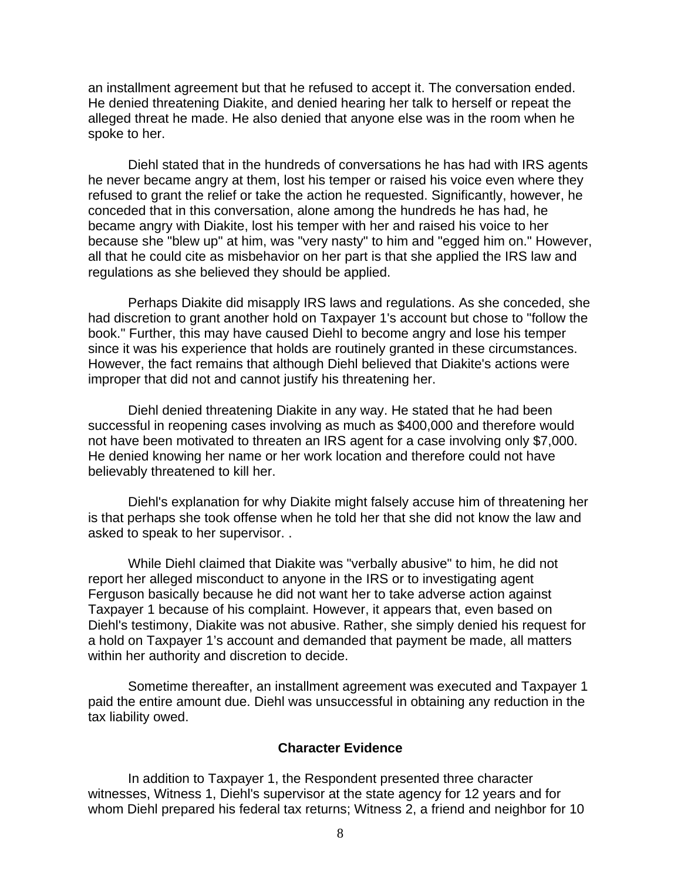an installment agreement but that he refused to accept it. The conversation ended. He denied threatening Diakite, and denied hearing her talk to herself or repeat the alleged threat he made. He also denied that anyone else was in the room when he spoke to her.

 Diehl stated that in the hundreds of conversations he has had with IRS agents he never became angry at them, lost his temper or raised his voice even where they refused to grant the relief or take the action he requested. Significantly, however, he conceded that in this conversation, alone among the hundreds he has had, he became angry with Diakite, lost his temper with her and raised his voice to her because she "blew up" at him, was "very nasty" to him and "egged him on." However, all that he could cite as misbehavior on her part is that she applied the IRS law and regulations as she believed they should be applied.

 Perhaps Diakite did misapply IRS laws and regulations. As she conceded, she had discretion to grant another hold on Taxpayer 1's account but chose to "follow the book." Further, this may have caused Diehl to become angry and lose his temper since it was his experience that holds are routinely granted in these circumstances. However, the fact remains that although Diehl believed that Diakite's actions were improper that did not and cannot justify his threatening her.

 Diehl denied threatening Diakite in any way. He stated that he had been successful in reopening cases involving as much as \$400,000 and therefore would not have been motivated to threaten an IRS agent for a case involving only \$7,000. He denied knowing her name or her work location and therefore could not have believably threatened to kill her.

 Diehl's explanation for why Diakite might falsely accuse him of threatening her is that perhaps she took offense when he told her that she did not know the law and asked to speak to her supervisor. .

 While Diehl claimed that Diakite was "verbally abusive" to him, he did not report her alleged misconduct to anyone in the IRS or to investigating agent Ferguson basically because he did not want her to take adverse action against Taxpayer 1 because of his complaint. However, it appears that, even based on Diehl's testimony, Diakite was not abusive. Rather, she simply denied his request for a hold on Taxpayer 1's account and demanded that payment be made, all matters within her authority and discretion to decide.

 Sometime thereafter, an installment agreement was executed and Taxpayer 1 paid the entire amount due. Diehl was unsuccessful in obtaining any reduction in the tax liability owed.

#### **Character Evidence**

 In addition to Taxpayer 1, the Respondent presented three character witnesses, Witness 1, Diehl's supervisor at the state agency for 12 years and for whom Diehl prepared his federal tax returns; Witness 2, a friend and neighbor for 10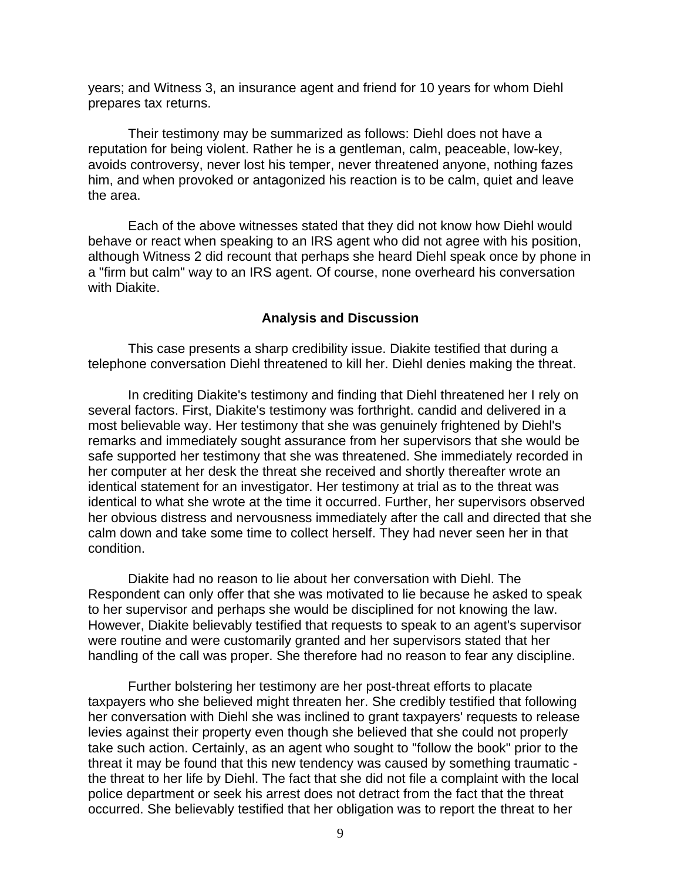years; and Witness 3, an insurance agent and friend for 10 years for whom Diehl prepares tax returns.

 Their testimony may be summarized as follows: Diehl does not have a reputation for being violent. Rather he is a gentleman, calm, peaceable, low-key, avoids controversy, never lost his temper, never threatened anyone, nothing fazes him, and when provoked or antagonized his reaction is to be calm, quiet and leave the area.

 Each of the above witnesses stated that they did not know how Diehl would behave or react when speaking to an IRS agent who did not agree with his position, although Witness 2 did recount that perhaps she heard Diehl speak once by phone in a "firm but calm" way to an IRS agent. Of course, none overheard his conversation with Diakite.

#### **Analysis and Discussion**

 This case presents a sharp credibility issue. Diakite testified that during a telephone conversation Diehl threatened to kill her. Diehl denies making the threat.

 In crediting Diakite's testimony and finding that Diehl threatened her I rely on several factors. First, Diakite's testimony was forthright. candid and delivered in a most believable way. Her testimony that she was genuinely frightened by Diehl's remarks and immediately sought assurance from her supervisors that she would be safe supported her testimony that she was threatened. She immediately recorded in her computer at her desk the threat she received and shortly thereafter wrote an identical statement for an investigator. Her testimony at trial as to the threat was identical to what she wrote at the time it occurred. Further, her supervisors observed her obvious distress and nervousness immediately after the call and directed that she calm down and take some time to collect herself. They had never seen her in that condition.

 Diakite had no reason to lie about her conversation with Diehl. The Respondent can only offer that she was motivated to lie because he asked to speak to her supervisor and perhaps she would be disciplined for not knowing the law. However, Diakite believably testified that requests to speak to an agent's supervisor were routine and were customarily granted and her supervisors stated that her handling of the call was proper. She therefore had no reason to fear any discipline.

 Further bolstering her testimony are her post-threat efforts to placate taxpayers who she believed might threaten her. She credibly testified that following her conversation with Diehl she was inclined to grant taxpayers' requests to release levies against their property even though she believed that she could not properly take such action. Certainly, as an agent who sought to "follow the book" prior to the threat it may be found that this new tendency was caused by something traumatic the threat to her life by Diehl. The fact that she did not file a complaint with the local police department or seek his arrest does not detract from the fact that the threat occurred. She believably testified that her obligation was to report the threat to her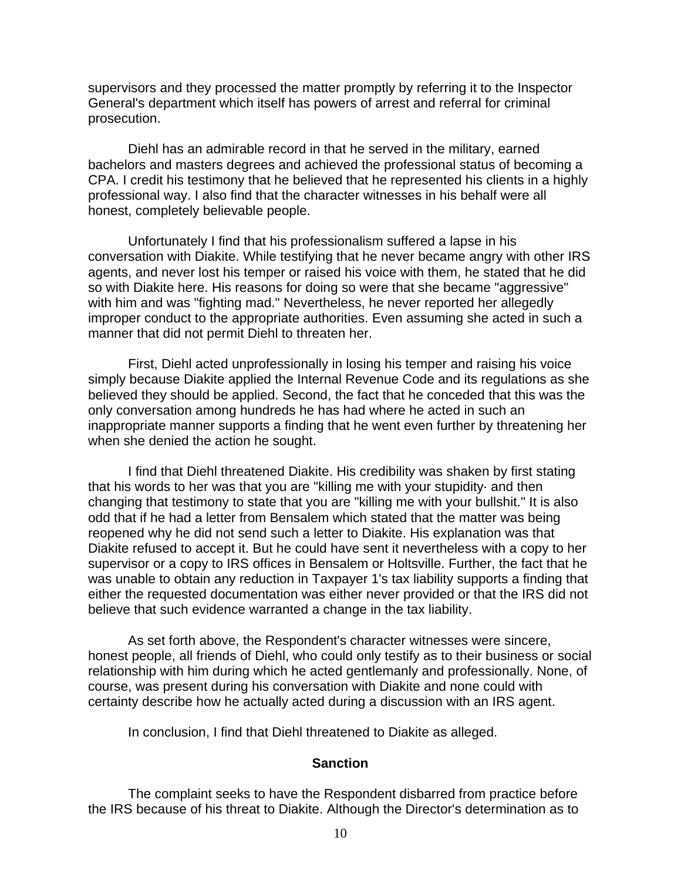supervisors and they processed the matter promptly by referring it to the Inspector General's department which itself has powers of arrest and referral for criminal prosecution.

 Diehl has an admirable record in that he served in the military, earned bachelors and masters degrees and achieved the professional status of becoming a CPA. I credit his testimony that he believed that he represented his clients in a highly professional way. I also find that the character witnesses in his behalf were all honest, completely believable people.

 Unfortunately I find that his professionalism suffered a lapse in his conversation with Diakite. While testifying that he never became angry with other IRS agents, and never lost his temper or raised his voice with them, he stated that he did so with Diakite here. His reasons for doing so were that she became "aggressive" with him and was "fighting mad." Nevertheless, he never reported her allegedly improper conduct to the appropriate authorities. Even assuming she acted in such a manner that did not permit Diehl to threaten her.

 First, Diehl acted unprofessionally in losing his temper and raising his voice simply because Diakite applied the Internal Revenue Code and its regulations as she believed they should be applied. Second, the fact that he conceded that this was the only conversation among hundreds he has had where he acted in such an inappropriate manner supports a finding that he went even further by threatening her when she denied the action he sought.

 I find that Diehl threatened Diakite. His credibility was shaken by first stating that his words to her was that you are "killing me with your stupidity· and then changing that testimony to state that you are "killing me with your bullshit." It is also odd that if he had a letter from Bensalem which stated that the matter was being reopened why he did not send such a letter to Diakite. His explanation was that Diakite refused to accept it. But he could have sent it nevertheless with a copy to her supervisor or a copy to IRS offices in Bensalem or Holtsville. Further, the fact that he was unable to obtain any reduction in Taxpayer 1's tax liability supports a finding that either the requested documentation was either never provided or that the IRS did not believe that such evidence warranted a change in the tax liability.

 As set forth above, the Respondent's character witnesses were sincere, honest people, all friends of Diehl, who could only testify as to their business or social relationship with him during which he acted gentlemanly and professionally. None, of course, was present during his conversation with Diakite and none could with certainty describe how he actually acted during a discussion with an IRS agent.

In conclusion, I find that Diehl threatened to Diakite as alleged.

### **Sanction**

 The complaint seeks to have the Respondent disbarred from practice before the IRS because of his threat to Diakite. Although the Director's determination as to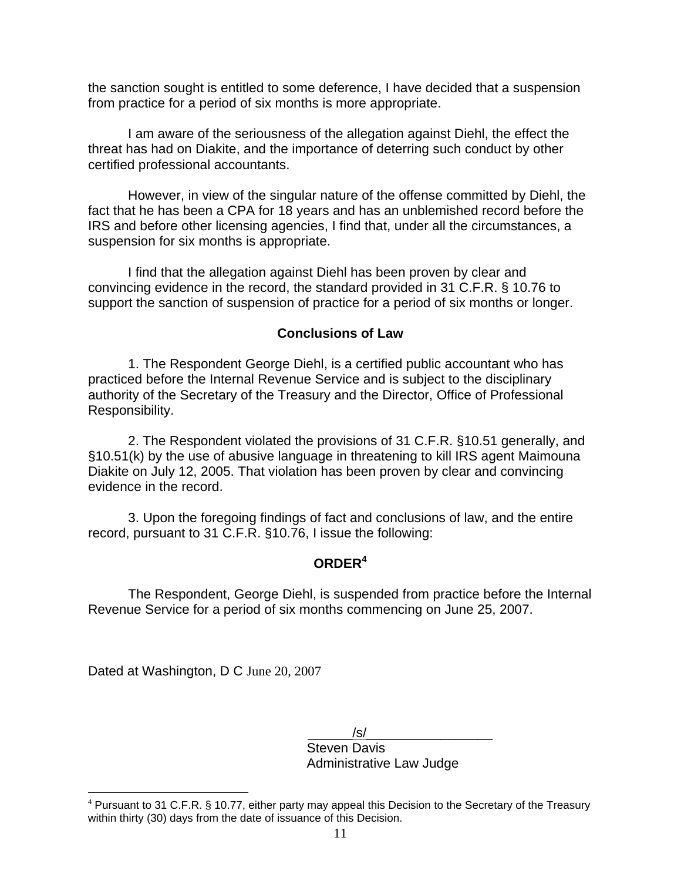the sanction sought is entitled to some deference, I have decided that a suspension from practice for a period of six months is more appropriate.

 I am aware of the seriousness of the allegation against Diehl, the effect the threat has had on Diakite, and the importance of deterring such conduct by other certified professional accountants.

 However, in view of the singular nature of the offense committed by Diehl, the fact that he has been a CPA for 18 years and has an unblemished record before the IRS and before other licensing agencies, I find that, under all the circumstances, a suspension for six months is appropriate.

 I find that the allegation against Diehl has been proven by clear and convincing evidence in the record, the standard provided in 31 C.F.R. § 10.76 to support the sanction of suspension of practice for a period of six months or longer.

## **Conclusions of Law**

 1. The Respondent George Diehl, is a certified public accountant who has practiced before the Internal Revenue Service and is subject to the disciplinary authority of the Secretary of the Treasury and the Director, Office of Professional Responsibility.

 2. The Respondent violated the provisions of 31 C.F.R. §10.51 generally, and §10.51(k) by the use of abusive language in threatening to kill IRS agent Maimouna Diakite on July 12, 2005. That violation has been proven by clear and convincing evidence in the record.

 3. Upon the foregoing findings of fact and conclusions of law, and the entire record, pursuant to 31 C.F.R. §10.76, I issue the following:

# **ORDER<sup>4</sup>**

 The Respondent, George Diehl, is suspended from practice before the Internal Revenue Service for a period of six months commencing on June 25, 2007.

Dated at Washington, D C June 20, 2007

 $\overline{a}$ 

 $/s/$  Steven Davis Administrative Law Judge

<sup>&</sup>lt;sup>4</sup> Pursuant to 31 C.F.R. § 10.77, either party may appeal this Decision to the Secretary of the Treasury within thirty (30) days from the date of issuance of this Decision.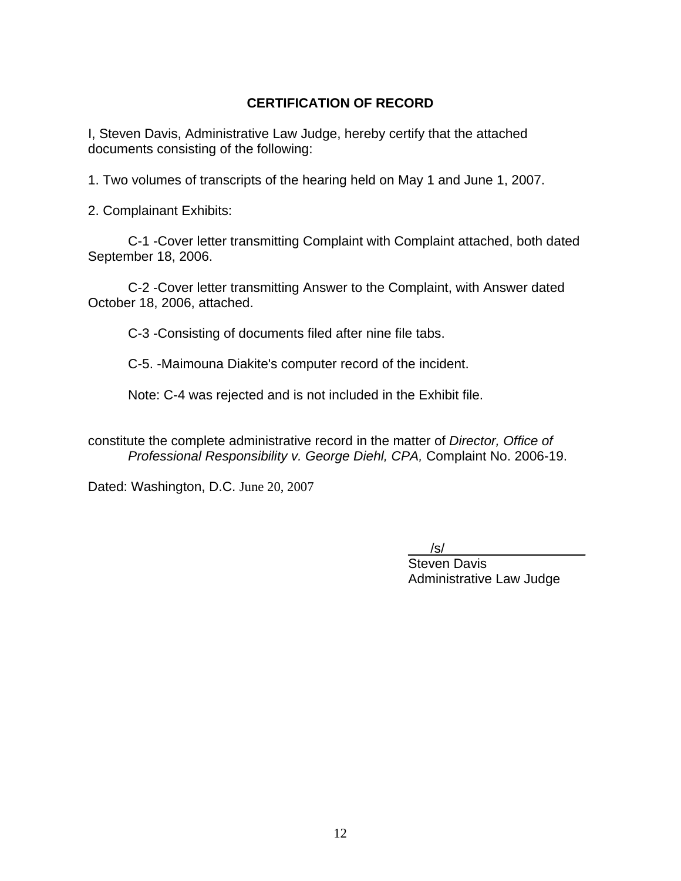## **CERTIFICATION OF RECORD**

I, Steven Davis, Administrative Law Judge, hereby certify that the attached documents consisting of the following:

1. Two volumes of transcripts of the hearing held on May 1 and June 1, 2007.

2. Complainant Exhibits:

 C-1 -Cover letter transmitting Complaint with Complaint attached, both dated September 18, 2006.

 C-2 -Cover letter transmitting Answer to the Complaint, with Answer dated October 18, 2006, attached.

C-3 -Consisting of documents filed after nine file tabs.

C-5. -Maimouna Diakite's computer record of the incident.

Note: C-4 was rejected and is not included in the Exhibit file.

constitute the complete administrative record in the matter of *Director, Office of Professional Responsibility v. George Diehl, CPA,* Complaint No. 2006-19.

Dated: Washington, D.C. June 20, 2007

 $/\mathbf{s}/\mathbf{r}$ 

 Steven Davis Administrative Law Judge